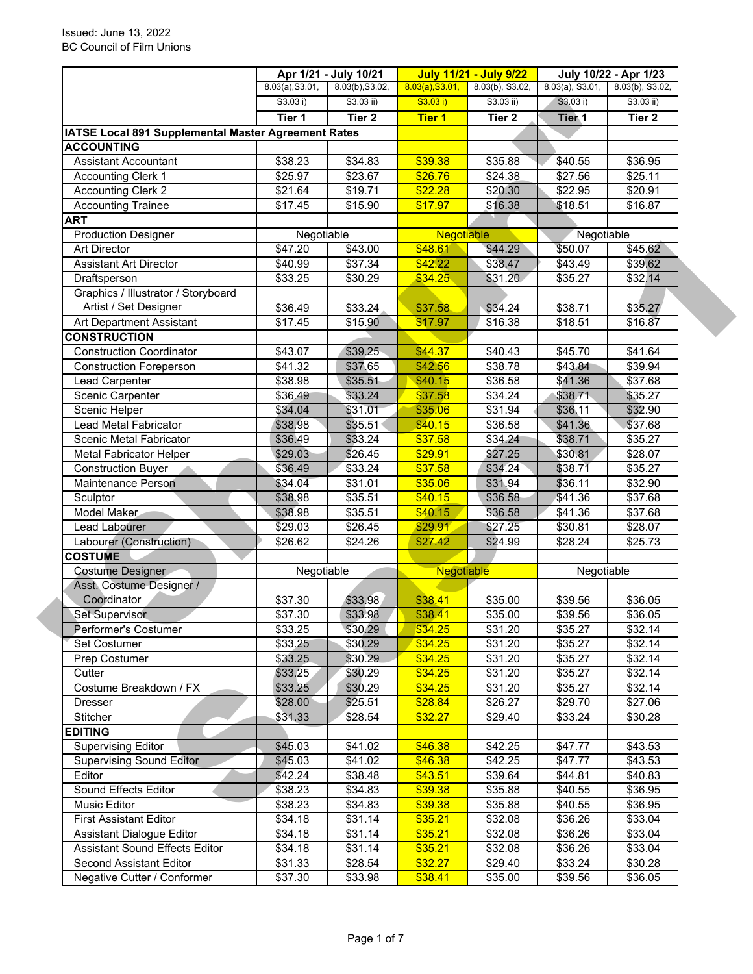|                                                              |                 | Apr 1/21 - July 10/21 |                   | <b>July 11/21 - July 9/22</b> |                     | July 10/22 - Apr 1/23 |  |
|--------------------------------------------------------------|-----------------|-----------------------|-------------------|-------------------------------|---------------------|-----------------------|--|
|                                                              | 8.03(a), S3.01, | 8.03(b), S3.02,       | 8.03(a), S3.01,   | 8.03(b), S3.02,               | $8.03(a)$ , S3.01,  | $8.03(b)$ , S3.02,    |  |
|                                                              | S3.03 i)        | $S3.03$ ii)           | S3.03 i)          | $S3.03$ ii)                   | S3.03 i)            | $S3.03$ ii)           |  |
|                                                              | Tier 1          | Tier <sub>2</sub>     | <b>Tier 1</b>     | Tier <sub>2</sub>             | Tier <sub>1</sub>   | Tier 2                |  |
| IATSE Local 891 Supplemental Master Agreement Rates          |                 |                       |                   |                               |                     |                       |  |
| <b>ACCOUNTING</b>                                            |                 |                       |                   |                               |                     |                       |  |
| <b>Assistant Accountant</b>                                  | \$38.23         | \$34.83               | \$39.38           | \$35.88                       | \$40.55             | \$36.95               |  |
| <b>Accounting Clerk 1</b>                                    | \$25.97         | \$23.67               | \$26.76           | \$24.38                       | \$27.56             | \$25.11               |  |
| <b>Accounting Clerk 2</b>                                    | \$21.64         | \$19.71               | \$22.28           | \$20.30                       | \$22.95             | \$20.91               |  |
| <b>Accounting Trainee</b>                                    | \$17.45         | \$15.90               | \$17.97           | \$16.38                       | \$18.51             | \$16.87               |  |
| <b>ART</b>                                                   |                 |                       |                   |                               |                     |                       |  |
| <b>Production Designer</b>                                   | Negotiable      |                       | <b>Negotiable</b> |                               | Negotiable          |                       |  |
| <b>Art Director</b>                                          | \$47.20         | \$43.00               | \$48.61           | \$44.29                       | \$50.07             | \$45.62               |  |
| <b>Assistant Art Director</b>                                | \$40.99         | \$37.34               | \$42.22           | \$38.47                       | \$43.49             | \$39.62               |  |
| Draftsperson                                                 | \$33.25         | \$30.29               | \$34.25           | \$31.20                       | \$35.27             | \$32.14               |  |
| Graphics / Illustrator / Storyboard<br>Artist / Set Designer | \$36.49         | \$33.24               | \$37.58           | \$34.24                       | \$38.71             | \$35.27               |  |
| Art Department Assistant                                     | \$17.45         | \$15.90               | \$17.97           | \$16.38                       | $\overline{$}18.51$ | \$16.87               |  |
| <b>CONSTRUCTION</b>                                          |                 |                       |                   |                               |                     |                       |  |
| <b>Construction Coordinator</b>                              | \$43.07         | \$39.25               | \$44.37           | \$40.43                       | $\sqrt{$45.70}$     | \$41.64               |  |
|                                                              |                 | \$37.65               |                   |                               |                     |                       |  |
| <b>Construction Foreperson</b>                               | \$41.32         |                       | \$42.56           | \$38.78                       | \$43.84             | \$39.94               |  |
| Lead Carpenter                                               | \$38.98         | \$35.51               | \$40.15           | \$36.58                       | \$41.36             | \$37.68               |  |
| Scenic Carpenter                                             | \$36.49         | \$33.24               | \$37.58           | \$34.24                       | \$38.71             | \$35.27               |  |
| Scenic Helper                                                | \$34.04         | \$31.01               | \$35.06           | \$31.94                       | \$36.11             | \$32.90               |  |
| Lead Metal Fabricator                                        | \$38.98         | \$35.51               | \$40.15           | \$36.58                       | \$41.36             | \$37.68               |  |
| Scenic Metal Fabricator                                      | \$36.49         | \$33.24               | \$37.58           | \$34.24                       | \$38.71             | \$35.27               |  |
| <b>Metal Fabricator Helper</b>                               | \$29.03         | \$26.45               | \$29.91           | \$27.25                       | \$30.81             | \$28.07               |  |
| <b>Construction Buyer</b>                                    | \$36.49         | \$33.24               | \$37.58           | \$34.24                       | \$38.71             | \$35.27               |  |
| Maintenance Person                                           | \$34.04         | \$31.01               | \$35.06           | \$31.94                       | \$36.11             | \$32.90               |  |
| Sculptor                                                     | \$38.98         | \$35.51               | \$40.15           | \$36.58                       | \$41.36             | \$37.68               |  |
| Model Maker                                                  | \$38.98         | \$35.51               | \$40.15           | \$36.58                       | \$41.36             | \$37.68               |  |
| Lead Labourer                                                | \$29.03         | \$26.45               | \$29.91           | \$27.25                       | \$30.81             | \$28.07               |  |
| Labourer (Construction)                                      | \$26.62         | \$24.26               | \$27.42           | \$24.99                       | \$28.24             | \$25.73               |  |
| <b>COSTUME</b>                                               |                 |                       |                   |                               |                     |                       |  |
| Costume Designer                                             | Negotiable      |                       | Negotiable        |                               | Negotiable          |                       |  |
| Asst. Costume Designer /                                     |                 |                       |                   |                               |                     |                       |  |
| Coordinator                                                  | \$37.30         | \$33.98               | \$38.41           | \$35.00                       | \$39.56             | \$36.05               |  |
| Set Supervisor                                               | \$37.30         | \$33.98               | \$38.41           | \$35.00                       | \$39.56             | \$36.05               |  |
| Performer's Costumer                                         | \$33.25         | \$30.29               | \$34.25           | \$31.20                       | \$35.27             | \$32.14               |  |
| Set Costumer                                                 | \$33.25         | \$30.29               | \$34.25           | \$31.20                       | \$35.27             | \$32.14               |  |
| Prep Costumer                                                | \$33.25         | \$30.29               | \$34.25           | \$31.20                       | \$35.27             | \$32.14               |  |
| Cutter                                                       | \$33.25         | \$30.29               | \$34.25           | \$31.20                       | \$35.27             | \$32.14               |  |
| Costume Breakdown / FX                                       | \$33.25         | \$30.29               | \$34.25           | \$31.20                       | \$35.27             | \$32.14               |  |
| Dresser                                                      | \$28.00         | \$25.51               | \$28.84           | \$26.27                       | \$29.70             | \$27.06               |  |
| Stitcher                                                     | \$31.33         | \$28.54               | \$32.27           | \$29.40                       | \$33.24             | \$30.28               |  |
| <b>EDITING</b>                                               |                 |                       |                   |                               |                     |                       |  |
| <b>Supervising Editor</b>                                    | \$45.03         | \$41.02               | \$46.38           | \$42.25                       | \$47.77             | \$43.53               |  |
| <b>Supervising Sound Editor</b>                              | \$45.03         | \$41.02               | \$46.38           | \$42.25                       | \$47.77             | \$43.53               |  |
| Editor                                                       | \$42.24         | \$38.48               | \$43.51           | \$39.64                       | \$44.81             | \$40.83               |  |
| Sound Effects Editor                                         | \$38.23         | \$34.83               | \$39.38           | \$35.88                       | \$40.55             | \$36.95               |  |
| Music Editor                                                 | \$38.23         | \$34.83               | \$39.38           | \$35.88                       | \$40.55             | \$36.95               |  |
| <b>First Assistant Editor</b>                                | \$34.18         | \$31.14               | \$35.21           | \$32.08                       | \$36.26             | \$33.04               |  |
| <b>Assistant Dialogue Editor</b>                             | \$34.18         | \$31.14               | \$35.21           | \$32.08                       | \$36.26             | \$33.04               |  |
| <b>Assistant Sound Effects Editor</b>                        | \$34.18         | \$31.14               | \$35.21           | \$32.08                       | \$36.26             | \$33.04               |  |
| Second Assistant Editor                                      | \$31.33         | \$28.54               | \$32.27           | \$29.40                       | \$33.24             | \$30.28               |  |
| Negative Cutter / Conformer                                  | \$37.30         | \$33.98               | \$38.41           | \$35.00                       | \$39.56             | \$36.05               |  |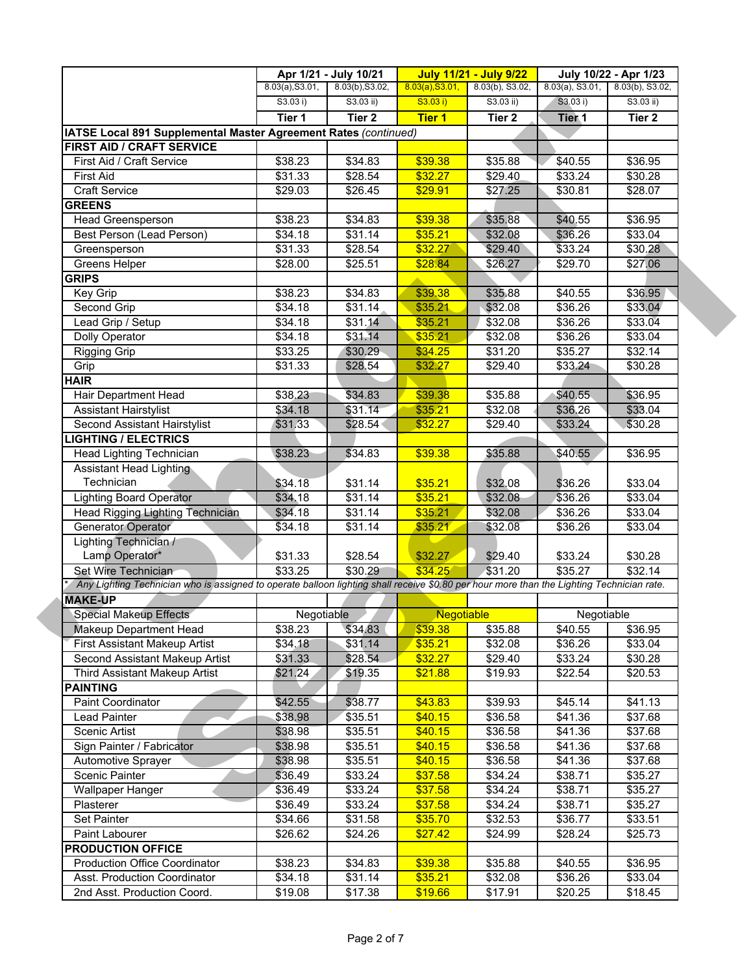|                                                                                                                                           |                 | Apr 1/21 - July 10/21 |                   | <b>July 11/21 - July 9/22</b> |                     | July 10/22 - Apr 1/23 |  |
|-------------------------------------------------------------------------------------------------------------------------------------------|-----------------|-----------------------|-------------------|-------------------------------|---------------------|-----------------------|--|
|                                                                                                                                           | 8.03(a), S3.01, | 8.03(b), S3.02,       | 8.03(a), S3.01,   | 8.03(b), S3.02,               | $8.03(a)$ , S3.01,  | $8.03(b)$ , S3.02,    |  |
|                                                                                                                                           | S3.03 i)        | S3.03 ii)             | S3.03 i)          | $S3.03$ ii)                   | S3.03 i)            | $S3.03$ ii)           |  |
|                                                                                                                                           | Tier 1          | Tier <sub>2</sub>     | <b>Tier 1</b>     | Tier <sub>2</sub>             | Tier <sub>1</sub>   | Tier 2                |  |
| IATSE Local 891 Supplemental Master Agreement Rates (continued)                                                                           |                 |                       |                   |                               |                     |                       |  |
| FIRST AID / CRAFT SERVICE                                                                                                                 |                 |                       |                   |                               |                     |                       |  |
| First Aid / Craft Service                                                                                                                 | \$38.23         | \$34.83               | \$39.38           | \$35.88                       | \$40.55             | 36.95                 |  |
| <b>First Aid</b>                                                                                                                          | \$31.33         | \$28.54               | \$32.27           | \$29.40                       | \$33.24             | \$30.28               |  |
| <b>Craft Service</b>                                                                                                                      | \$29.03         | \$26.45               | \$29.91           | \$27.25                       | \$30.81             | \$28.07               |  |
| <b>GREENS</b>                                                                                                                             |                 |                       |                   |                               |                     |                       |  |
| Head Greensperson                                                                                                                         | \$38.23         | \$34.83               | \$39.38           | \$35.88                       | \$40.55             | \$36.95               |  |
| Best Person (Lead Person)                                                                                                                 | \$34.18         | \$31.14               | \$35.21           | \$32.08                       | \$36.26             | \$33.04               |  |
| Greensperson                                                                                                                              | \$31.33         | \$28.54               | \$32.27           | \$29.40                       | \$33.24             | \$30.28               |  |
| Greens Helper                                                                                                                             | \$28.00         | \$25.51               | \$28.84           | \$26.27                       | \$29.70             | \$27.06               |  |
| <b>GRIPS</b>                                                                                                                              |                 |                       |                   |                               |                     |                       |  |
| Key Grip                                                                                                                                  | \$38.23         | \$34.83               | \$39.38           | \$35.88                       | \$40.55             | \$36.95               |  |
| Second Grip                                                                                                                               | \$34.18         | \$31.14               | \$35.21           | \$32.08                       | \$36.26             | \$33.04               |  |
|                                                                                                                                           |                 |                       |                   |                               |                     |                       |  |
| Lead Grip / Setup                                                                                                                         | \$34.18         | \$31.14               | \$35.21           | \$32.08                       | \$36.26             | \$33.04               |  |
| Dolly Operator                                                                                                                            | \$34.18         | \$31.14               | \$35.21           | \$32.08                       | $\overline{$}36.26$ | \$33.04               |  |
| Rigging Grip                                                                                                                              | \$33.25         | \$30.29               | \$34.25           | \$31.20                       | \$35.27             | \$32.14               |  |
| Grip                                                                                                                                      | \$31.33         | \$28.54               | \$32.27           | \$29.40                       | \$33.24             | \$30.28               |  |
| <b>HAIR</b>                                                                                                                               |                 |                       |                   |                               |                     |                       |  |
| Hair Department Head                                                                                                                      | \$38.23         | \$34.83               | \$39.38           | \$35.88                       | \$40.55             | \$36.95               |  |
| <b>Assistant Hairstylist</b>                                                                                                              | \$34.18         | \$31.14               | \$35.21           | \$32.08                       | \$36.26             | \$33.04               |  |
| Second Assistant Hairstylist                                                                                                              | \$31.33         | \$28.54               | \$32.27           | \$29.40                       | \$33.24             | \$30.28               |  |
| <b>LIGHTING / ELECTRICS</b>                                                                                                               |                 |                       |                   |                               |                     |                       |  |
| Head Lighting Technician                                                                                                                  | \$38.23         | \$34.83               | \$39.38           | \$35.88                       | \$40.55             | \$36.95               |  |
| <b>Assistant Head Lighting</b>                                                                                                            |                 |                       |                   |                               |                     |                       |  |
| Technician                                                                                                                                | \$34.18         | \$31.14               | \$35.21           | \$32.08                       | \$36.26             | \$33.04               |  |
| <b>Lighting Board Operator</b>                                                                                                            | \$34.18         | $\overline{$}31.14$   | \$35.21           | \$32.08                       | \$36.26             | \$33.04               |  |
| Head Rigging Lighting Technician                                                                                                          | \$34.18         | $\overline{$31.14}$   | \$35.21           | \$32.08                       | \$36.26             | \$33.04               |  |
| Generator Operator                                                                                                                        | \$34.18         | \$31.14               | \$35.21           | \$32.08                       | \$36.26             | \$33.04               |  |
| Lighting Technician /                                                                                                                     |                 |                       |                   |                               |                     |                       |  |
| Lamp Operator*                                                                                                                            | \$31.33         | \$28.54               | \$32.27           | \$29.40                       | \$33.24             | \$30.28               |  |
| Set Wire Technician                                                                                                                       | \$33.25         | \$30.29               | \$34.25           | \$31.20                       | \$35.27             | \$32.14               |  |
| Any Lighting Technician who is assigned to operate balloon lighting shall receive \$0.80 per hour more than the Lighting Technician rate. |                 |                       |                   |                               |                     |                       |  |
| <b>MAKE-UP</b>                                                                                                                            |                 |                       |                   |                               |                     |                       |  |
| <b>Special Makeup Effects</b>                                                                                                             | Negotiable      |                       | <b>Negotiable</b> |                               | Negotiable          |                       |  |
| Makeup Department Head                                                                                                                    | \$38.23         | \$34.83               | \$39.38           | \$35.88                       | \$40.55             | \$36.95               |  |
| First Assistant Makeup Artist                                                                                                             |                 | \$31.14               | \$35.21           | \$32.08                       |                     |                       |  |
| Second Assistant Makeup Artist                                                                                                            | \$34,18         | \$28.54               | \$32.27           | \$29.40                       | \$36.26             | \$33.04               |  |
|                                                                                                                                           | \$31.33         |                       |                   |                               | \$33.24             | \$30.28               |  |
| Third Assistant Makeup Artist                                                                                                             | \$21.24         | \$19.35               | \$21.88           | \$19.93                       | \$22.54             | \$20.53               |  |
| <b>PAINTING</b>                                                                                                                           |                 |                       |                   |                               |                     |                       |  |
| Paint Coordinator                                                                                                                         | \$42.55         | \$38.77               | \$43.83           | \$39.93                       | \$45.14             | \$41.13               |  |
| Lead Painter                                                                                                                              | \$38.98         | \$35.51               | \$40.15           | \$36.58                       | \$41.36             | \$37.68               |  |
| Scenic Artist                                                                                                                             | \$38.98         | \$35.51               | \$40.15           | \$36.58                       | \$41.36             | \$37.68               |  |
| Sign Painter / Fabricator                                                                                                                 | \$38.98         | \$35.51               | \$40.15           | \$36.58                       | \$41.36             | \$37.68               |  |
| Automotive Sprayer                                                                                                                        | \$38.98         | \$35.51               | \$40.15           | \$36.58                       | \$41.36             | \$37.68               |  |
| Scenic Painter                                                                                                                            | \$36.49         | \$33.24               | \$37.58           | \$34.24                       | \$38.71             | \$35.27               |  |
| <b>Wallpaper Hanger</b>                                                                                                                   | \$36.49         | \$33.24               | \$37.58           | \$34.24                       | \$38.71             | \$35.27               |  |
| Plasterer                                                                                                                                 | \$36.49         | \$33.24               | \$37.58           | \$34.24                       | \$38.71             | \$35.27               |  |
| Set Painter                                                                                                                               | \$34.66         | \$31.58               | \$35.70           | \$32.53                       | \$36.77             | \$33.51               |  |
| Paint Labourer                                                                                                                            | \$26.62         | \$24.26               | \$27.42           | \$24.99                       | \$28.24             | \$25.73               |  |
| <b>PRODUCTION OFFICE</b>                                                                                                                  |                 |                       |                   |                               |                     |                       |  |
| Production Office Coordinator                                                                                                             | \$38.23         | \$34.83               | \$39.38           | \$35.88                       | \$40.55             | \$36.95               |  |
| Asst. Production Coordinator                                                                                                              | \$34.18         | \$31.14               | \$35.21           | \$32.08                       | \$36.26             | \$33.04               |  |
| 2nd Asst. Production Coord.                                                                                                               | \$19.08         |                       |                   | \$17.91                       |                     | \$18.45               |  |
|                                                                                                                                           |                 | \$17.38               | \$19.66           |                               | \$20.25             |                       |  |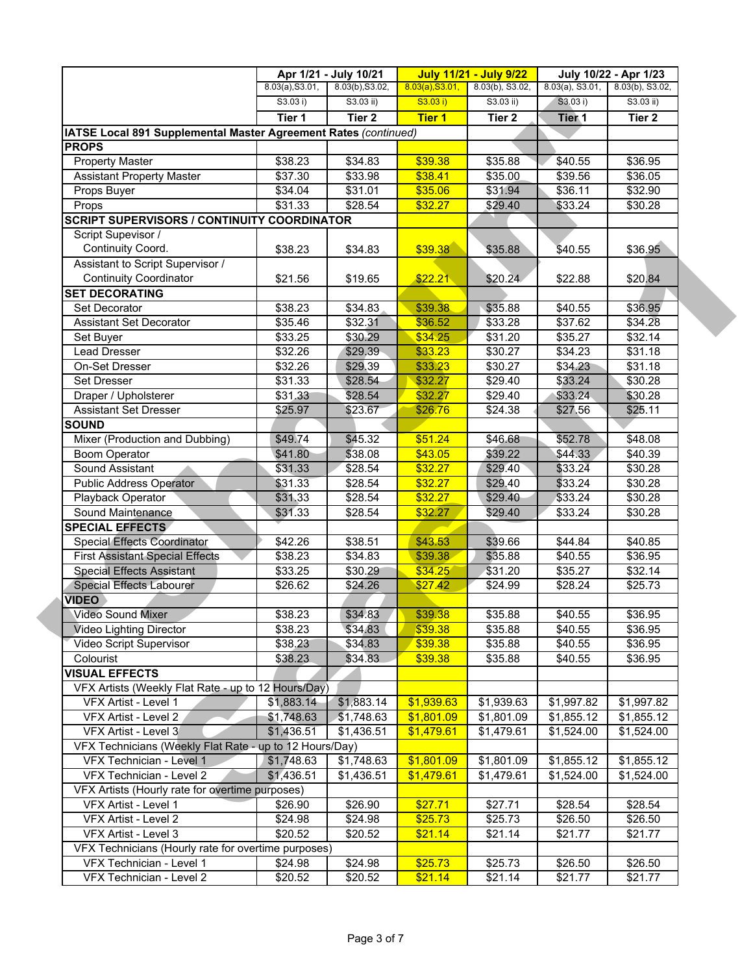|                                                                 |                 | Apr 1/21 - July 10/21 |                 | <b>July 11/21 - July 9/22</b> |                    | July 10/22 - Apr 1/23 |  |
|-----------------------------------------------------------------|-----------------|-----------------------|-----------------|-------------------------------|--------------------|-----------------------|--|
|                                                                 | 8.03(a), S3.01, | 8.03(b), S3.02,       | 8.03(a), S3.01, | 8.03(b), S3.02,               | $8.03(a)$ , S3.01, | 8.03(b), S3.02,       |  |
|                                                                 | S3.03 i)        | $S3.03$ ii)           | S3.03 i)        | $S3.03$ ii)                   | S3.03 i)           | $S3.03$ ii)           |  |
|                                                                 | Tier 1          | Tier <sub>2</sub>     | <b>Tier 1</b>   | Tier 2                        | Tier <sub>1</sub>  | Tier 2                |  |
| IATSE Local 891 Supplemental Master Agreement Rates (continued) |                 |                       |                 |                               |                    |                       |  |
| <b>PROPS</b>                                                    |                 |                       |                 |                               |                    |                       |  |
| <b>Property Master</b>                                          | \$38.23         | \$34.83               | \$39.38         | \$35.88                       | \$40.55            | \$36.95               |  |
| <b>Assistant Property Master</b>                                | \$37.30         | \$33.98               | \$38.41         | \$35.00                       | \$39.56            | \$36.05               |  |
| Props Buyer                                                     | \$34.04         | \$31.01               | \$35.06         | \$31.94                       | \$36.11            | \$32.90               |  |
| Props                                                           | \$31.33         | \$28.54               | \$32.27         | \$29.40                       | \$33.24            | \$30.28               |  |
| <b>SCRIPT SUPERVISORS / CONTINUITY COORDINATOR</b>              |                 |                       |                 |                               |                    |                       |  |
| Script Supevisor /                                              |                 |                       |                 |                               |                    |                       |  |
| Continuity Coord.                                               | \$38.23         | \$34.83               | \$39.38         | \$35.88                       | \$40.55            | \$36.95               |  |
| Assistant to Script Supervisor /                                |                 |                       |                 |                               |                    |                       |  |
| <b>Continuity Coordinator</b>                                   | \$21.56         | \$19.65               | \$22.21         | \$20.24                       | \$22.88            | \$20.84               |  |
| <b>SET DECORATING</b>                                           |                 |                       |                 |                               |                    |                       |  |
| Set Decorator                                                   | \$38.23         | \$34.83               | \$39.38         | \$35.88                       | \$40.55            | \$36.95               |  |
| <b>Assistant Set Decorator</b>                                  | \$35.46         | \$32.31               | \$36.52         | \$33.28                       | \$37.62            | \$34.28               |  |
| Set Buyer                                                       | \$33.25         | \$30.29               | \$34.25         | \$31.20                       | \$35.27            | \$32.14               |  |
| <b>Lead Dresser</b>                                             | \$32.26         | \$29.39               | \$33.23         | \$30.27                       | \$34.23            | \$31.18               |  |
| On-Set Dresser                                                  | \$32.26         | \$29.39               | \$33.23         | \$30.27                       | \$34.23            | \$31.18               |  |
| <b>Set Dresser</b>                                              | \$31.33         | \$28.54               | \$32.27         | \$29.40                       | \$33.24            | \$30.28               |  |
| Draper / Upholsterer                                            | \$31.33         | \$28.54               | \$32.27         | \$29.40                       | \$33.24            | \$30.28               |  |
| <b>Assistant Set Dresser</b>                                    | \$25.97         | \$23.67               | \$26.76         | \$24.38                       | \$27.56            | \$25.11               |  |
| <b>SOUND</b>                                                    |                 |                       |                 |                               |                    |                       |  |
| Mixer (Production and Dubbing)                                  | \$49.74         | \$45.32               | \$51.24         | \$46.68                       | \$52.78            | \$48.08               |  |
| <b>Boom Operator</b>                                            | \$41.80         | \$38.08               | \$43.05         | \$39.22                       | \$44.33            | \$40.39               |  |
| Sound Assistant                                                 | \$31.33         | \$28.54               | \$32.27         | \$29.40                       | \$33.24            | \$30.28               |  |
| <b>Public Address Operator</b>                                  | \$31.33         | \$28.54               | \$32.27         | \$29.40                       | \$33.24            | \$30.28               |  |
| Playback Operator                                               | \$31.33         | \$28.54               | \$32.27         | \$29.40                       | \$33.24            | \$30.28               |  |
| Sound Maintenance                                               | \$31.33         | \$28.54               | \$32.27         | \$29.40                       | \$33.24            | \$30.28               |  |
| <b>SPECIAL EFFECTS</b>                                          |                 |                       |                 |                               |                    |                       |  |
| <b>Special Effects Coordinator</b>                              | \$42.26         | \$38.51               | \$43.53         | \$39.66                       | \$44.84            | \$40.85               |  |
| <b>First Assistant Special Effects</b>                          | \$38.23         | \$34.83               | \$39.38         | \$35.88                       | \$40.55            | \$36.95               |  |
| <b>Special Effects Assistant</b>                                | \$33.25         | \$30.29               | \$34.25         | \$31.20                       | \$35.27            | \$32.14               |  |
| Special Effects Labourer                                        | \$26.62         | \$24.26               | \$27.42         | \$24.99                       | \$28.24            | \$25.73               |  |
| <b>VIDEO</b>                                                    |                 |                       |                 |                               |                    |                       |  |
| <b>Video Sound Mixer</b>                                        | \$38.23         | \$34.83               | \$39.38         | \$35.88                       | \$40.55            | \$36.95               |  |
| Video Lighting Director                                         | \$38.23         | \$34.83               | \$39.38         | \$35.88                       | \$40.55            | \$36.95               |  |
| Video Script Supervisor                                         | \$38.23         | \$34.83               | \$39.38         | \$35.88                       | \$40.55            | \$36.95               |  |
| Colourist                                                       | \$38.23         | \$34.83               | \$39.38         | \$35.88                       | \$40.55            | \$36.95               |  |
| <b>VISUAL EFFECTS</b>                                           |                 |                       |                 |                               |                    |                       |  |
| VFX Artists (Weekly Flat Rate - up to 12 Hours/Day)             |                 |                       |                 |                               |                    |                       |  |
| VFX Artist - Level 1                                            | \$1,883.14      | \$1,883.14            | \$1,939.63      | \$1,939.63                    | \$1,997.82         | \$1,997.82            |  |
| VFX Artist - Level 2                                            | \$1,748.63      | \$1,748.63            | \$1,801.09      | \$1,801.09                    | \$1,855.12         | \$1,855.12            |  |
| VFX Artist - Level 3                                            | \$1,436.51      | \$1,436.51            | \$1,479.61      | \$1,479.61                    | \$1,524.00         | \$1,524.00            |  |
| VFX Technicians (Weekly Flat Rate - up to 12 Hours/Day)         |                 |                       |                 |                               |                    |                       |  |
| VFX Technician - Level 1                                        | \$1,748.63      | \$1,748.63            | \$1,801.09      | \$1,801.09                    | \$1,855.12         | \$1,855.12            |  |
| VFX Technician - Level 2                                        | \$1,436.51      | \$1,436.51            | \$1,479.61      | \$1,479.61                    | \$1,524.00         | \$1,524.00            |  |
| VFX Artists (Hourly rate for overtime purposes)                 |                 |                       |                 |                               |                    |                       |  |
| VFX Artist - Level 1                                            | \$26.90         | \$26.90               | \$27.71         | \$27.71                       | \$28.54            | \$28.54               |  |
| VFX Artist - Level 2                                            | \$24.98         | \$24.98               | \$25.73         | \$25.73                       | \$26.50            | \$26.50               |  |
| VFX Artist - Level 3                                            | \$20.52         | \$20.52               | \$21.14         | \$21.14                       | \$21.77            | \$21.77               |  |
| VFX Technicians (Hourly rate for overtime purposes)             |                 |                       |                 |                               |                    |                       |  |
| VFX Technician - Level 1                                        | \$24.98         | \$24.98               | \$25.73         | \$25.73                       | \$26.50            | \$26.50               |  |
| VFX Technician - Level 2                                        | \$20.52         | \$20.52               | \$21.14         | \$21.14                       | \$21.77            | \$21.77               |  |
|                                                                 |                 |                       |                 |                               |                    |                       |  |